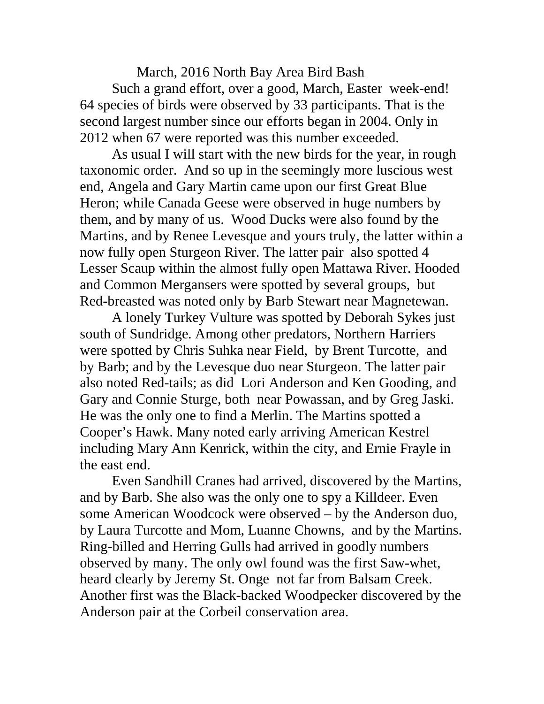March, 2016 North Bay Area Bird Bash Such a grand effort, over a good, March, Easter week-end! 64 species of birds were observed by 33 participants. That is the second largest number since our efforts began in 2004. Only in 2012 when 67 were reported was this number exceeded.

As usual I will start with the new birds for the year, in rough taxonomic order. And so up in the seemingly more luscious west end, Angela and Gary Martin came upon our first Great Blue Heron; while Canada Geese were observed in huge numbers by them, and by many of us. Wood Ducks were also found by the Martins, and by Renee Levesque and yours truly, the latter within a now fully open Sturgeon River. The latter pair also spotted 4 Lesser Scaup within the almost fully open Mattawa River. Hooded and Common Mergansers were spotted by several groups, but Red-breasted was noted only by Barb Stewart near Magnetewan.

A lonely Turkey Vulture was spotted by Deborah Sykes just south of Sundridge. Among other predators, Northern Harriers were spotted by Chris Suhka near Field, by Brent Turcotte, and by Barb; and by the Levesque duo near Sturgeon. The latter pair also noted Red-tails; as did Lori Anderson and Ken Gooding, and Gary and Connie Sturge, both near Powassan, and by Greg Jaski. He was the only one to find a Merlin. The Martins spotted a Cooper's Hawk. Many noted early arriving American Kestrel including Mary Ann Kenrick, within the city, and Ernie Frayle in the east end.

Even Sandhill Cranes had arrived, discovered by the Martins, and by Barb. She also was the only one to spy a Killdeer. Even some American Woodcock were observed – by the Anderson duo, by Laura Turcotte and Mom, Luanne Chowns, and by the Martins. Ring-billed and Herring Gulls had arrived in goodly numbers observed by many. The only owl found was the first Saw-whet, heard clearly by Jeremy St. Onge not far from Balsam Creek. Another first was the Black-backed Woodpecker discovered by the Anderson pair at the Corbeil conservation area.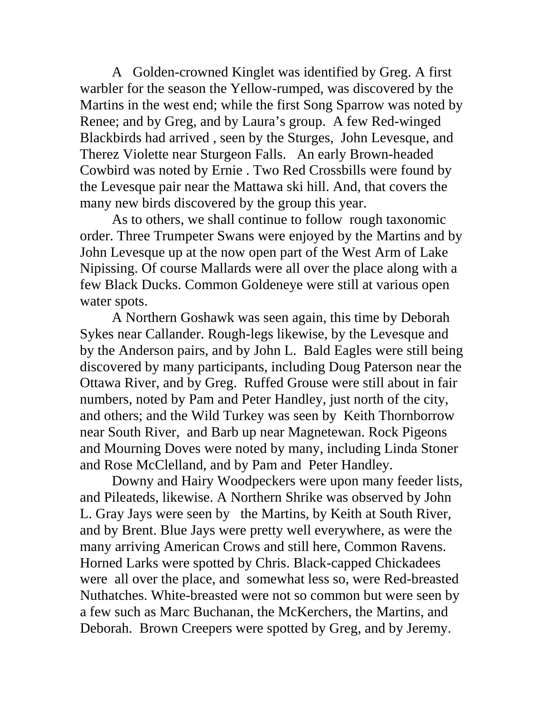A Golden-crowned Kinglet was identified by Greg. A first warbler for the season the Yellow-rumped, was discovered by the Martins in the west end; while the first Song Sparrow was noted by Renee; and by Greg, and by Laura's group. A few Red-winged Blackbirds had arrived , seen by the Sturges, John Levesque, and Therez Violette near Sturgeon Falls. An early Brown-headed Cowbird was noted by Ernie . Two Red Crossbills were found by the Levesque pair near the Mattawa ski hill. And, that covers the many new birds discovered by the group this year.

As to others, we shall continue to follow rough taxonomic order. Three Trumpeter Swans were enjoyed by the Martins and by John Levesque up at the now open part of the West Arm of Lake Nipissing. Of course Mallards were all over the place along with a few Black Ducks. Common Goldeneye were still at various open water spots.

A Northern Goshawk was seen again, this time by Deborah Sykes near Callander. Rough-legs likewise, by the Levesque and by the Anderson pairs, and by John L. Bald Eagles were still being discovered by many participants, including Doug Paterson near the Ottawa River, and by Greg. Ruffed Grouse were still about in fair numbers, noted by Pam and Peter Handley, just north of the city, and others; and the Wild Turkey was seen by Keith Thornborrow near South River, and Barb up near Magnetewan. Rock Pigeons and Mourning Doves were noted by many, including Linda Stoner and Rose McClelland, and by Pam and Peter Handley.

Downy and Hairy Woodpeckers were upon many feeder lists, and Pileateds, likewise. A Northern Shrike was observed by John L. Gray Jays were seen by the Martins, by Keith at South River, and by Brent. Blue Jays were pretty well everywhere, as were the many arriving American Crows and still here, Common Ravens. Horned Larks were spotted by Chris. Black-capped Chickadees were all over the place, and somewhat less so, were Red-breasted Nuthatches. White-breasted were not so common but were seen by a few such as Marc Buchanan, the McKerchers, the Martins, and Deborah. Brown Creepers were spotted by Greg, and by Jeremy.